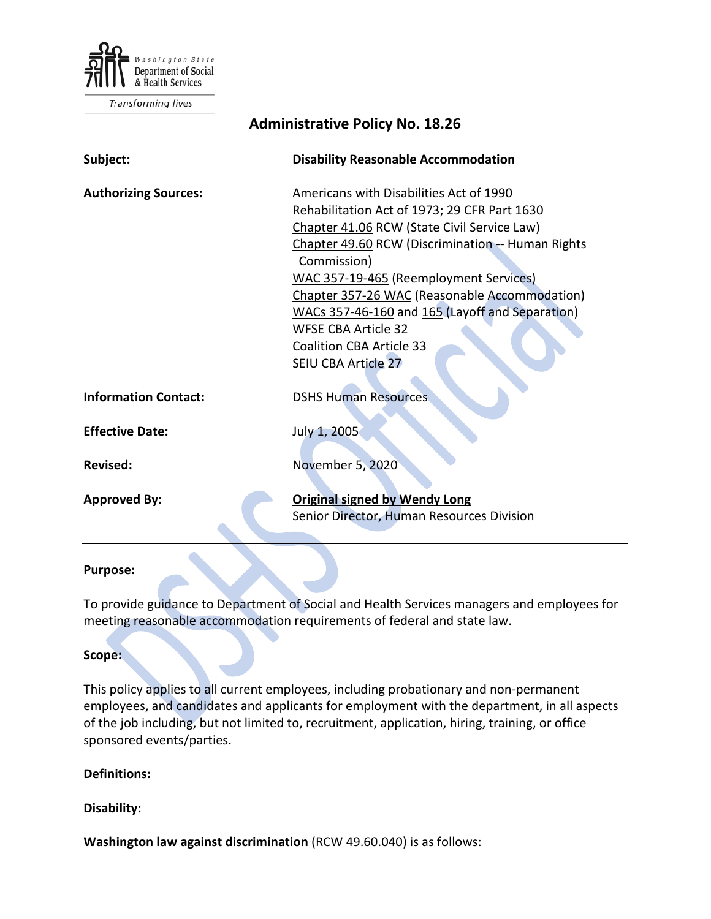

Transforming lives

| <b>Administrative Policy No. 18.26</b> |                                                                                                                                                                                                                                                                                                                                                                                                                                                         |
|----------------------------------------|---------------------------------------------------------------------------------------------------------------------------------------------------------------------------------------------------------------------------------------------------------------------------------------------------------------------------------------------------------------------------------------------------------------------------------------------------------|
| Subject:                               | <b>Disability Reasonable Accommodation</b>                                                                                                                                                                                                                                                                                                                                                                                                              |
| <b>Authorizing Sources:</b>            | Americans with Disabilities Act of 1990<br>Rehabilitation Act of 1973; 29 CFR Part 1630<br>Chapter 41.06 RCW (State Civil Service Law)<br>Chapter 49.60 RCW (Discrimination -- Human Rights<br>Commission)<br>WAC 357-19-465 (Reemployment Services)<br>Chapter 357-26 WAC (Reasonable Accommodation)<br>WACs 357-46-160 and 165 (Layoff and Separation)<br><b>WFSE CBA Article 32</b><br><b>Coalition CBA Article 33</b><br><b>SEIU CBA Article 27</b> |
| <b>Information Contact:</b>            | <b>DSHS Human Resources</b>                                                                                                                                                                                                                                                                                                                                                                                                                             |
| <b>Effective Date:</b>                 | July 1, 2005                                                                                                                                                                                                                                                                                                                                                                                                                                            |
| <b>Revised:</b>                        | November 5, 2020                                                                                                                                                                                                                                                                                                                                                                                                                                        |
| <b>Approved By:</b>                    | <b>Original signed by Wendy Long</b><br>Senior Director, Human Resources Division                                                                                                                                                                                                                                                                                                                                                                       |

#### **Purpose:**

To provide guidance to Department of Social and Health Services managers and employees for meeting reasonable accommodation requirements of federal and state law.

#### **Scope:**

This policy applies to all current employees, including probationary and non-permanent employees, and candidates and applicants for employment with the department, in all aspects of the job including, but not limited to, recruitment, application, hiring, training, or office sponsored events/parties.

### **Definitions:**

#### **Disability:**

**Washington law against discrimination** (RCW 49.60.040) is as follows: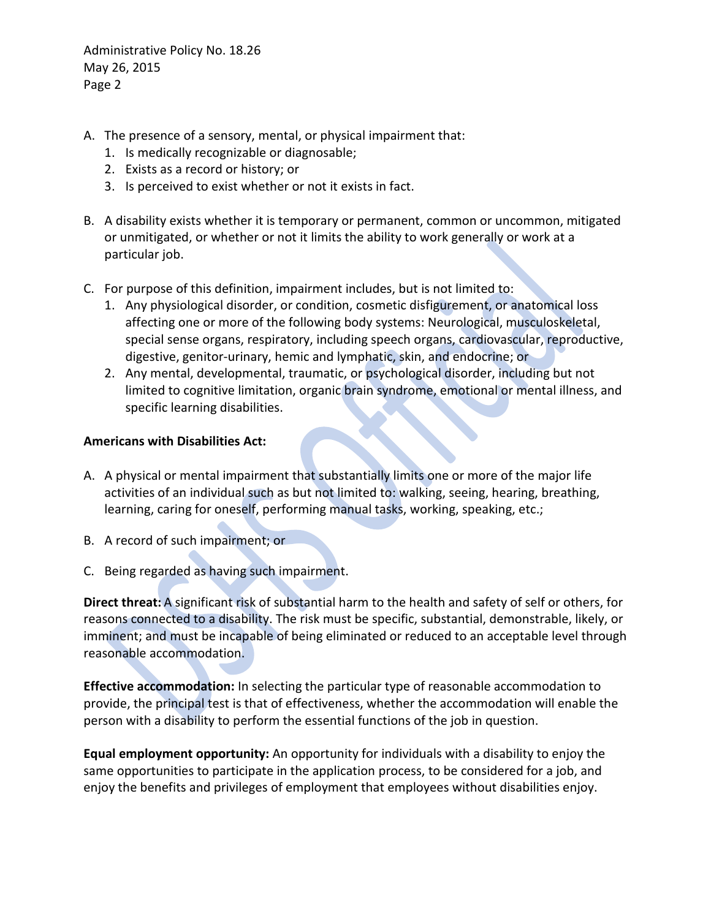- A. The presence of a sensory, mental, or physical impairment that:
	- 1. Is medically recognizable or diagnosable;
	- 2. Exists as a record or history; or
	- 3. Is perceived to exist whether or not it exists in fact.
- B. A disability exists whether it is temporary or permanent, common or uncommon, mitigated or unmitigated, or whether or not it limits the ability to work generally or work at a particular job.
- C. For purpose of this definition, impairment includes, but is not limited to:
	- 1. Any physiological disorder, or condition, cosmetic disfigurement, or anatomical loss affecting one or more of the following body systems: Neurological, musculoskeletal, special sense organs, respiratory, including speech organs, cardiovascular, reproductive, digestive, genitor-urinary, hemic and lymphatic, skin, and endocrine; or
	- 2. Any mental, developmental, traumatic, or psychological disorder, including but not limited to cognitive limitation, organic brain syndrome, emotional or mental illness, and specific learning disabilities.

#### **Americans with Disabilities Act:**

- A. A physical or mental impairment that substantially limits one or more of the major life activities of an individual such as but not limited to: walking, seeing, hearing, breathing, learning, caring for oneself, performing manual tasks, working, speaking, etc.;
- B. A record of such impairment; or
- C. Being regarded as having such impairment.

**Direct threat:** A significant risk of substantial harm to the health and safety of self or others, for reasons connected to a disability. The risk must be specific, substantial, demonstrable, likely, or imminent; and must be incapable of being eliminated or reduced to an acceptable level through reasonable accommodation.

**Effective accommodation:** In selecting the particular type of reasonable accommodation to provide, the principal test is that of effectiveness, whether the accommodation will enable the person with a disability to perform the essential functions of the job in question.

**Equal employment opportunity:** An opportunity for individuals with a disability to enjoy the same opportunities to participate in the application process, to be considered for a job, and enjoy the benefits and privileges of employment that employees without disabilities enjoy.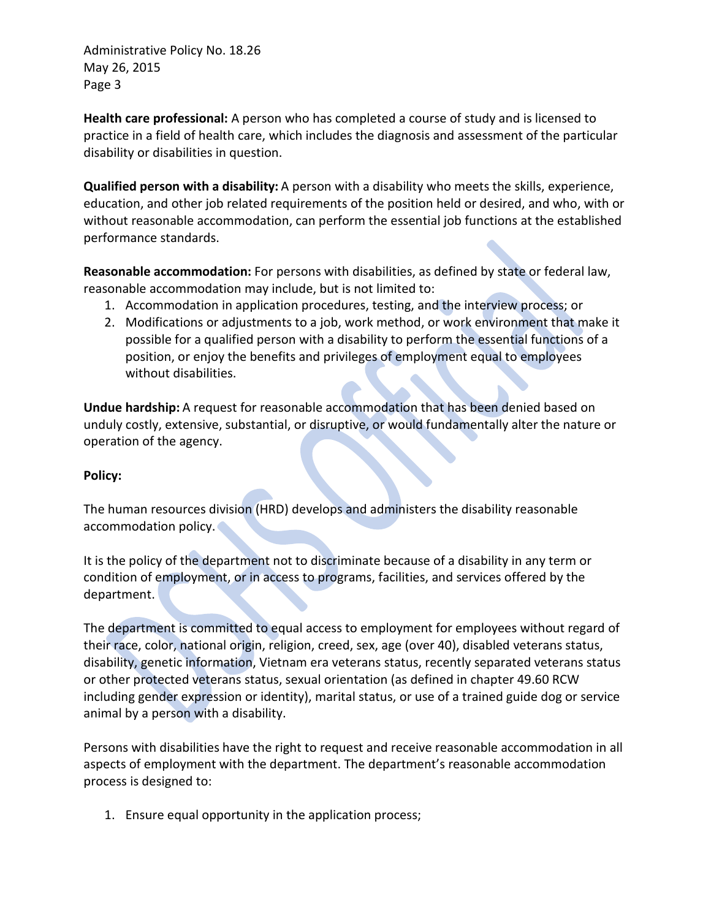**Health care professional:** A person who has completed a course of study and is licensed to practice in a field of health care, which includes the diagnosis and assessment of the particular disability or disabilities in question.

**Qualified person with a disability:** A person with a disability who meets the skills, experience, education, and other job related requirements of the position held or desired, and who, with or without reasonable accommodation, can perform the essential job functions at the established performance standards.

**Reasonable accommodation:** For persons with disabilities, as defined by state or federal law, reasonable accommodation may include, but is not limited to:

- 1. Accommodation in application procedures, testing, and the interview process; or
- 2. Modifications or adjustments to a job, work method, or work environment that make it possible for a qualified person with a disability to perform the essential functions of a position, or enjoy the benefits and privileges of employment equal to employees without disabilities.

**Undue hardship:** A request for reasonable accommodation that has been denied based on unduly costly, extensive, substantial, or disruptive, or would fundamentally alter the nature or operation of the agency.

# **Policy:**

The human resources division (HRD) develops and administers the disability reasonable accommodation policy.

It is the policy of the department not to discriminate because of a disability in any term or condition of employment, or in access to programs, facilities, and services offered by the department.

The department is committed to equal access to employment for employees without regard of their race, color, national origin, religion, creed, sex, age (over 40), disabled veterans status, disability, genetic information, Vietnam era veterans status, recently separated veterans status or other protected veterans status, sexual orientation (as defined in chapter 49.60 RCW including gender expression or identity), marital status, or use of a trained guide dog or service animal by a person with a disability.

Persons with disabilities have the right to request and receive reasonable accommodation in all aspects of employment with the department. The department's reasonable accommodation process is designed to:

1. Ensure equal opportunity in the application process;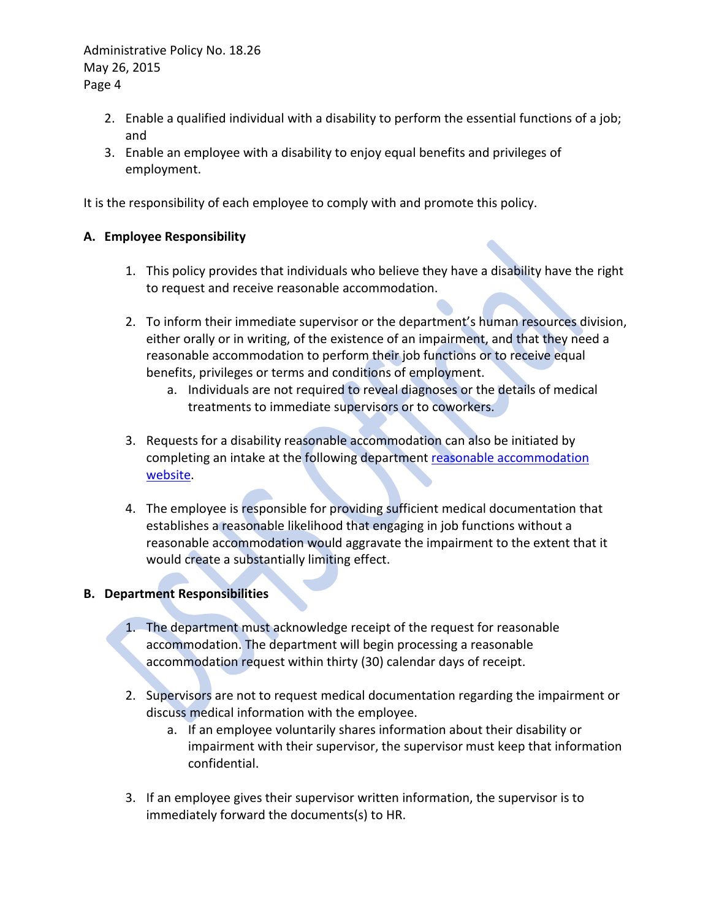- 2. Enable a qualified individual with a disability to perform the essential functions of a job; and
- 3. Enable an employee with a disability to enjoy equal benefits and privileges of employment.

It is the responsibility of each employee to comply with and promote this policy.

## **A. Employee Responsibility**

- 1. This policy provides that individuals who believe they have a disability have the right to request and receive reasonable accommodation.
- 2. To inform their immediate supervisor or the department's human resources division, either orally or in writing, of the existence of an impairment, and that they need a reasonable accommodation to perform their job functions or to receive equal benefits, privileges or terms and conditions of employment.
	- a. Individuals are not required to reveal diagnoses or the details of medical treatments to immediate supervisors or to coworkers.
- 3. Requests for a disability reasonable accommodation can also be initiated by completing an intake at the following department reasonable accommodation [website.](http://hrd.dshs.wa.lcl/Employees/requesting_ra/Requesting_RA.htm)
- 4. The employee is responsible for providing sufficient medical documentation that establishes a reasonable likelihood that engaging in job functions without a reasonable accommodation would aggravate the impairment to the extent that it would create a substantially limiting effect.

#### **B. Department Responsibilities**

- 1. The department must acknowledge receipt of the request for reasonable accommodation. The department will begin processing a reasonable accommodation request within thirty (30) calendar days of receipt.
- 2. Supervisors are not to request medical documentation regarding the impairment or discuss medical information with the employee.
	- a. If an employee voluntarily shares information about their disability or impairment with their supervisor, the supervisor must keep that information confidential.
- 3. If an employee gives their supervisor written information, the supervisor is to immediately forward the documents(s) to HR.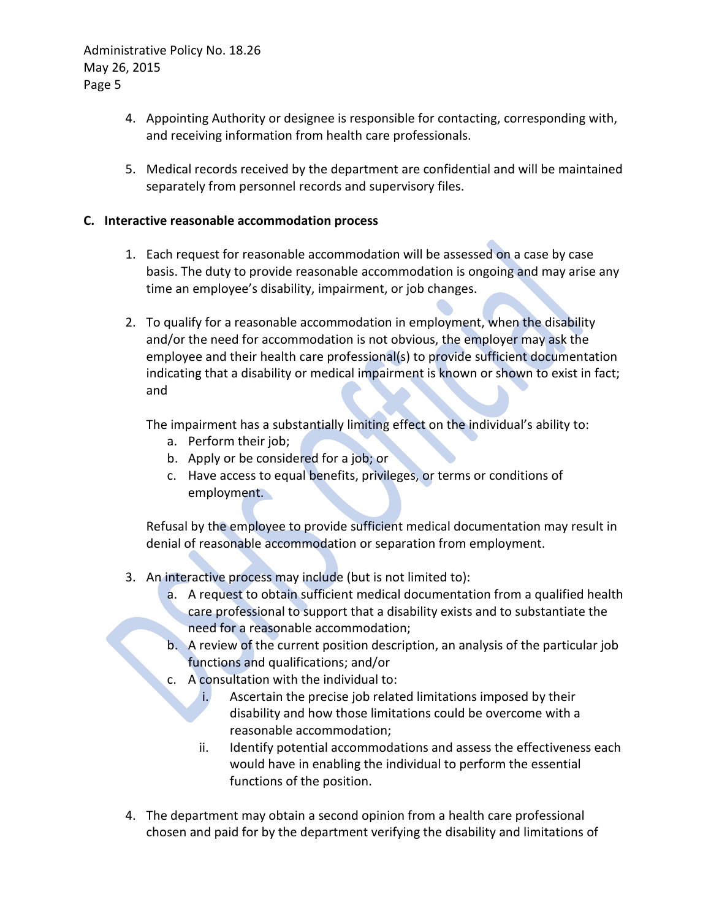- 4. Appointing Authority or designee is responsible for contacting, corresponding with, and receiving information from health care professionals.
- 5. Medical records received by the department are confidential and will be maintained separately from personnel records and supervisory files.

## **C. Interactive reasonable accommodation process**

- 1. Each request for reasonable accommodation will be assessed on a case by case basis. The duty to provide reasonable accommodation is ongoing and may arise any time an employee's disability, impairment, or job changes.
- 2. To qualify for a reasonable accommodation in employment, when the disability and/or the need for accommodation is not obvious, the employer may ask the employee and their health care professional(s) to provide sufficient documentation indicating that a disability or medical impairment is known or shown to exist in fact; and

The impairment has a substantially limiting effect on the individual's ability to:

- a. Perform their job;
- b. Apply or be considered for a job; or
- c. Have access to equal benefits, privileges, or terms or conditions of employment.

Refusal by the employee to provide sufficient medical documentation may result in denial of reasonable accommodation or separation from employment.

- 3. An interactive process may include (but is not limited to):
	- a. A request to obtain sufficient medical documentation from a qualified health care professional to support that a disability exists and to substantiate the need for a reasonable accommodation;
	- b. A review of the current position description, an analysis of the particular job functions and qualifications; and/or
	- c. A consultation with the individual to:
		- i. Ascertain the precise job related limitations imposed by their disability and how those limitations could be overcome with a reasonable accommodation;
		- ii. Identify potential accommodations and assess the effectiveness each would have in enabling the individual to perform the essential functions of the position.
- 4. The department may obtain a second opinion from a health care professional chosen and paid for by the department verifying the disability and limitations of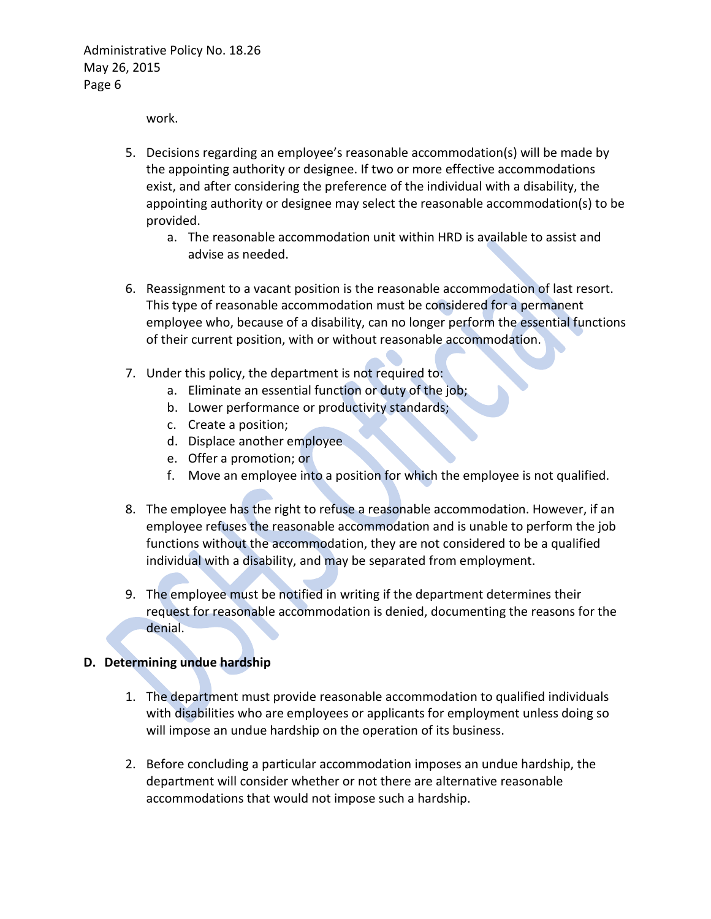work.

- 5. Decisions regarding an employee's reasonable accommodation(s) will be made by the appointing authority or designee. If two or more effective accommodations exist, and after considering the preference of the individual with a disability, the appointing authority or designee may select the reasonable accommodation(s) to be provided.
	- a. The reasonable accommodation unit within HRD is available to assist and advise as needed.
- 6. Reassignment to a vacant position is the reasonable accommodation of last resort. This type of reasonable accommodation must be considered for a permanent employee who, because of a disability, can no longer perform the essential functions of their current position, with or without reasonable accommodation.
- 7. Under this policy, the department is not required to:
	- a. Eliminate an essential function or duty of the job;
	- b. Lower performance or productivity standards;
	- c. Create a position;
	- d. Displace another employee
	- e. Offer a promotion; or
	- f. Move an employee into a position for which the employee is not qualified.
- 8. The employee has the right to refuse a reasonable accommodation. However, if an employee refuses the reasonable accommodation and is unable to perform the job functions without the accommodation, they are not considered to be a qualified individual with a disability, and may be separated from employment.
- 9. The employee must be notified in writing if the department determines their request for reasonable accommodation is denied, documenting the reasons for the denial.

#### **D. Determining undue hardship**

- 1. The department must provide reasonable accommodation to qualified individuals with disabilities who are employees or applicants for employment unless doing so will impose an undue hardship on the operation of its business.
- 2. Before concluding a particular accommodation imposes an undue hardship, the department will consider whether or not there are alternative reasonable accommodations that would not impose such a hardship.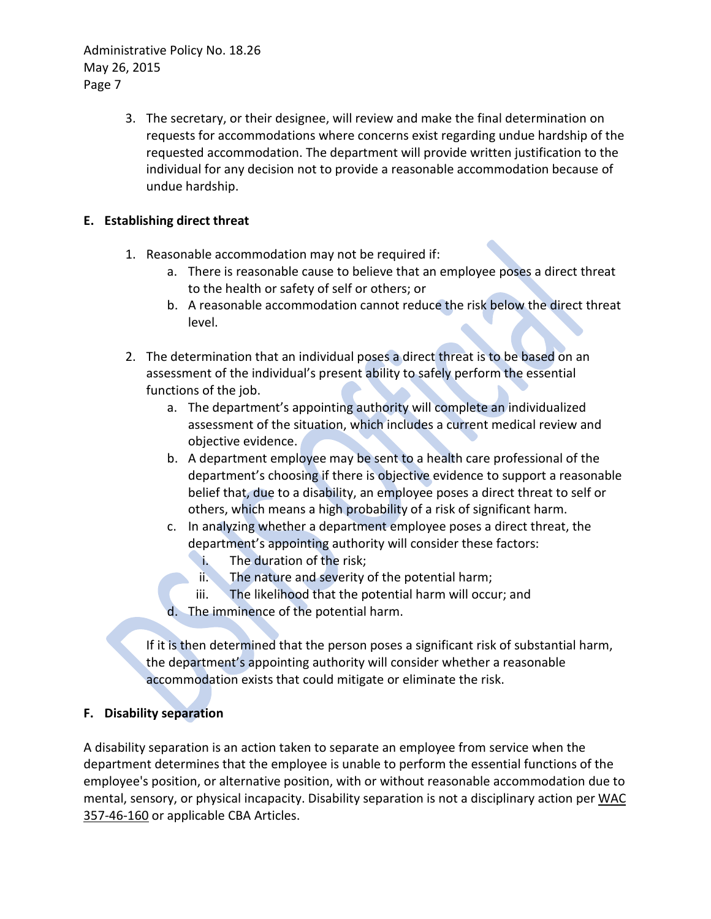> 3. The secretary, or their designee, will review and make the final determination on requests for accommodations where concerns exist regarding undue hardship of the requested accommodation. The department will provide written justification to the individual for any decision not to provide a reasonable accommodation because of undue hardship.

# **E. Establishing direct threat**

- 1. Reasonable accommodation may not be required if:
	- a. There is reasonable cause to believe that an employee poses a direct threat to the health or safety of self or others; or
	- b. A reasonable accommodation cannot reduce the risk below the direct threat level.
- 2. The determination that an individual poses a direct threat is to be based on an assessment of the individual's present ability to safely perform the essential functions of the job.
	- a. The department's appointing authority will complete an individualized assessment of the situation, which includes a current medical review and objective evidence.
	- b. A department employee may be sent to a health care professional of the department's choosing if there is objective evidence to support a reasonable belief that, due to a disability, an employee poses a direct threat to self or others, which means a high probability of a risk of significant harm.
	- c. In analyzing whether a department employee poses a direct threat, the department's appointing authority will consider these factors:
		- i. The duration of the risk;
		- ii. The nature and severity of the potential harm;
		- iii. The likelihood that the potential harm will occur; and
	- d. The imminence of the potential harm.

If it is then determined that the person poses a significant risk of substantial harm, the department's appointing authority will consider whether a reasonable accommodation exists that could mitigate or eliminate the risk.

# **F. Disability separation**

A disability separation is an action taken to separate an employee from service when the department determines that the employee is unable to perform the essential functions of the employee's position, or alternative position, with or without reasonable accommodation due to mental, sensory, or physical incapacity. Disability separation is not a disciplinary action per [WAC](http://apps.leg.wa.gov/WAC/default.aspx?cite=357-46-160)  [357-46-160](http://apps.leg.wa.gov/WAC/default.aspx?cite=357-46-160) or applicable CBA Articles.